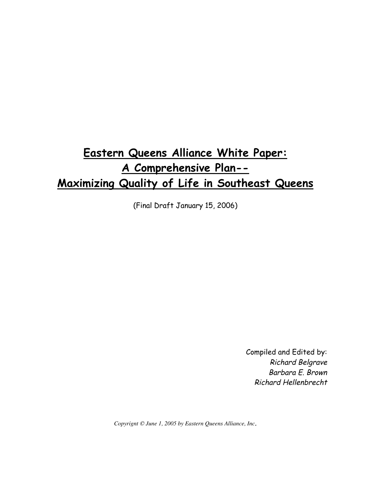## **Eastern Queens Alliance White Paper: A Comprehensive Plan-- Maximizing Quality of Life in Southeast Queens**

(Final Draft January 15, 2006)

Compiled and Edited by: Richard Belgrave Barbara E. Brown Richard Hellenbrecht

*Copyrignt © June 1, 2005 by Eastern Queens Alliance, Inc*.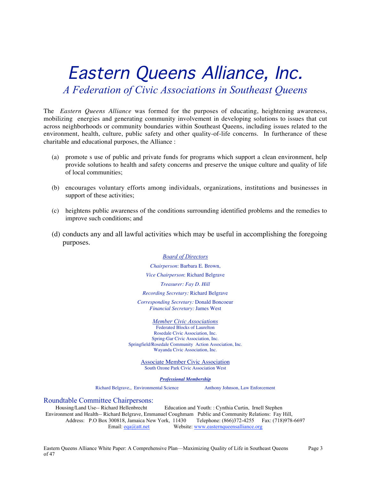# Eastern Queens Alliance, Inc. *A Federation of Civic Associations in Southeast Queens*

The *Eastern Queens Alliance* was formed for the purposes of educating, heightening awareness, mobilizing energies and generating community involvement in developing solutions to issues that cut across neighborhoods or community boundaries within Southeast Queens, including issues related to the environment, health, culture, public safety and other quality-of-life concerns. In furtherance of these charitable and educational purposes, the Alliance :

- (a) promote s use of public and private funds for programs which support a clean environment, help provide solutions to health and safety concerns and preserve the unique culture and quality of life of local communities;
- (b) encourages voluntary efforts among individuals, organizations, institutions and businesses in support of these activities;
- (c) heightens public awareness of the conditions surrounding identified problems and the remedies to improve such conditions; and
- (d) conducts any and all lawful activities which may be useful in accomplishing the foregoing purposes.

#### *Board of Directors*

*Chairperson*: Barbara E. Brown, *Vice Chairperson*: Richard Belgrave *Treasurer: Fay D. Hill Recording Secretary:* Richard Belgrave *Corresponding Secretary:* Donald Boncoeur *Financial Secretary:* James West

#### *Member Civic Associations*

Federated Blocks of Laurelton Rosedale Civic Association, Inc. Spring-Gar Civic Association, Inc. Springfield/Rosedale Community Action Association, Inc. Wayanda Civic Association, Inc.

> Associate Member Civic Association South Ozone Park Civic Association West

> > *Professional Membership*

Richard Belgrave,, Environmental Science Anthony Johnson, Law Enforcement

#### Roundtable Committee Chairpersons:

Housing/Land Use-- Richard Hellenbrecht Education and Youth: : Cynthia Curtin, Irnell Stephen Environment and Health-- Richard Belgrave, Emmanuel Coughmam Public and Community Relations: Fay Hill, Address: P.O Box 300818, Jamaica New York, 11430 Telephone: (866)372-4255 Fax: (718)978-6697 Email: eqa@att.net Website: www.easternqueensalliance.org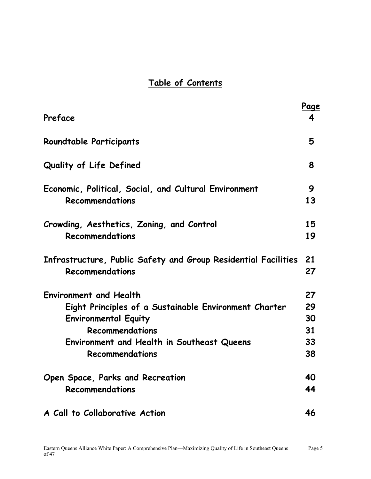## **Table of Contents**

|                                                                | Page |
|----------------------------------------------------------------|------|
| Preface                                                        | 4    |
| <b>Roundtable Participants</b>                                 | 5    |
| <b>Quality of Life Defined</b>                                 | 8    |
| Economic, Political, Social, and Cultural Environment          | 9    |
| Recommendations                                                | 13   |
| Crowding, Aesthetics, Zoning, and Control                      | 15   |
| Recommendations                                                | 19   |
| Infrastructure, Public Safety and Group Residential Facilities | 21   |
| Recommendations                                                | 27   |
| <b>Environment and Health</b>                                  | 27   |
| Eight Principles of a Sustainable Environment Charter          | 29   |
| <b>Environmental Equity</b>                                    | 30   |
| Recommendations                                                | 31   |
| Environment and Health in Southeast Queens                     | 33   |
| Recommendations                                                | 38   |
| Open Space, Parks and Recreation                               | 40   |
| Recommendations                                                | 44   |
| A Call to Collaborative Action                                 | 46   |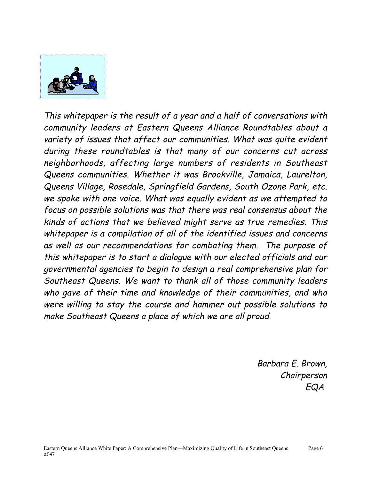

This whitepaper is the result of a year and a half of conversations with community leaders at Eastern Queens Alliance Roundtables about a variety of issues that affect our communities. What was quite evident during these roundtables is that many of our concerns cut across neighborhoods, affecting large numbers of residents in Southeast Queens communities. Whether it was Brookville, Jamaica, Laurelton, Queens Village, Rosedale, Springfield Gardens, South Ozone Park, etc. we spoke with one voice. What was equally evident as we attempted to focus on possible solutions was that there was real consensus about the kinds of actions that we believed might serve as true remedies. This whitepaper is a compilation of all of the identified issues and concerns as well as our recommendations for combating them. The purpose of this whitepaper is to start a dialogue with our elected officials and our governmental agencies to begin to design a real comprehensive plan for Southeast Queens. We want to thank all of those community leaders who gave of their time and knowledge of their communities, and who were willing to stay the course and hammer out possible solutions to make Southeast Queens a place of which we are all proud.

> Barbara E. Brown, Chairperson EQA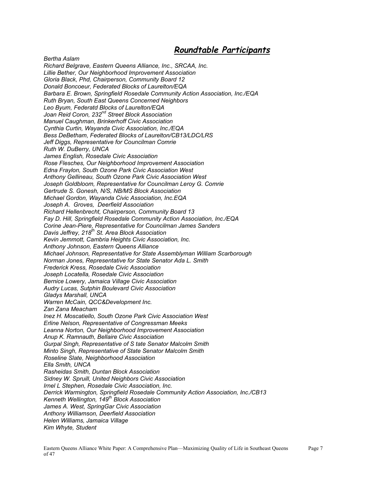#### **Roundtable Participants**

*Bertha Aslam Richard Belgrave, Eastern Queens Alliance, Inc., SRCAA, Inc. Lillie Bether, Our Neighborhood Improvement Association Gloria Black, Phd, Chairperson, Community Board 12 Donald Boncoeur, Federated Blocks of Laurelton/EQA Barbara E. Brown, Springfield Rosedale Community Action Association, Inc./EQA Ruth Bryan, South East Queens Concerned Neighbors Leo Byum, Federatd Blocks of Laurelton/EQA Joan Reid Coron, 232nd Street Block Association Manuel Caughman, Brinkerhoff Civic Association Cynthia Curtin, Wayanda Civic Association, Inc./EQA Bess DeBetham, Federated Blocks of Laurelton/CB13/LDC/LRS Jeff Diggs, Representative for Councilman Comrie Ruth W. DuBerry, UNCA James English, Rosedale Civic Association Rose Flesches, Our Neighborhood Improvement Association Edna Fraylon, South Ozone Park Civic Association West Anthony Gellineau, South Ozone Park Civic Association West Joseph Goldbloom, Representative for Councilman Leroy G. Comrie Gertrude S. Gonesh, N/S, NB/MS Block Association Michael Gordon, Wayanda Civic Association, Inc.EQA Joseph A. Groves, Deerfield Association Richard Hellenbrecht, Chairperson, Community Board 13 Fay D. Hill, Springfield Rosedale Community Action Association, Inc./EQA Corine Jean-Piere, Representative for Councilman James Sanders Davis Jeffrey, 218th St. Area Block Association Kevin Jemmott, Cambria Heights Civic Association, Inc. Anthony Johnson, Eastern Queens Alliance Michael Johnson, Representative for State Assemblyman William Scarborough Norman Jones, Representative for State Senator Ada L. Smith Frederick Kress, Rosedale Civic Association Joseph Locatella, Rosedale Civic Association Bernice Lowery, Jamaica Village Civic Association Audry Lucas, Sutphin Boulevard Civic Association Gladys Marshall, UNCA Warren McCain, QCC&Development Inc. Zan Zana Meacham Inez H. Moscatiello, South Ozone Park Civic Association West Erline Nelson, Representative of Congressman Meeks Leanna Norton, Our Neighborhood Improvement Association Anup K. Ramnauth, Bellaire Civic Association Gurpal Singh, Representative of S tate Senator Malcolm Smith Minto Singh, Representative of State Senator Malcolm Smith Roseline Slate, Neighborhood Association Ella Smith, UNCA Rasheidas Smith, Duntan Block Association Sidney W. Spruill, United Neighbors Civic Association Irnel L Stephen, Rosedale Civic Association, Inc. Derrick Warmington, Springfield Rosedale Community Action Association, Inc./CB13 Kenneth Wellington, 149th Block Association James A. West, SpringGar Civic Association Anthony Williamson, Deerfield Association Helen Williams, Jamaica Village Kim Whyte, Student*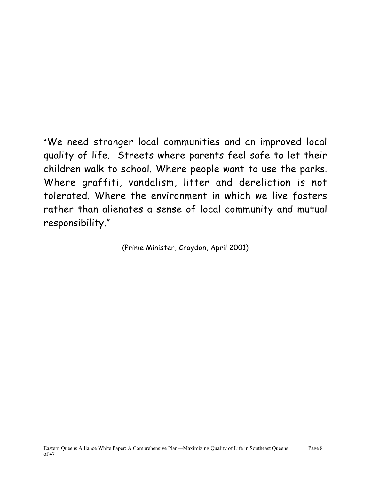**"**We need stronger local communities and an improved local quality of life. Streets where parents feel safe to let their children walk to school. Where people want to use the parks. Where graffiti, vandalism, litter and dereliction is not tolerated. Where the environment in which we live fosters rather than alienates a sense of local community and mutual responsibility."

(Prime Minister, Croydon, April 2001)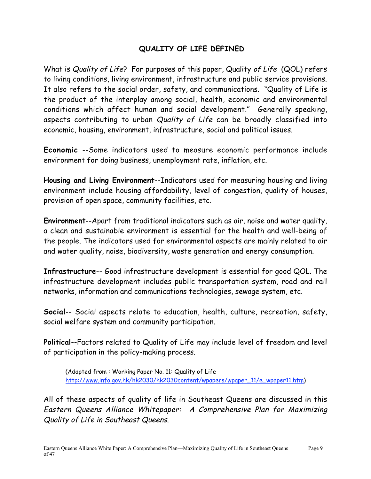#### **QUALITY OF LIFE DEFINED**

What is Quality of Life? For purposes of this paper, Quality of Life (QOL) refers to living conditions, living environment, infrastructure and public service provisions. It also refers to the social order, safety, and communications. "Quality of Life is the product of the interplay among social, health, economic and environmental conditions which affect human and social development." Generally speaking, aspects contributing to urban Quality of Life can be broadly classified into economic, housing, environment, infrastructure, social and political issues.

**Economic** --Some indicators used to measure economic performance include environment for doing business, unemployment rate, inflation, etc.

**Housing and Living Environment**--Indicators used for measuring housing and living environment include housing affordability, level of congestion, quality of houses, provision of open space, community facilities, etc.

**Environment**--Apart from traditional indicators such as air, noise and water quality, a clean and sustainable environment is essential for the health and well-being of the people. The indicators used for environmental aspects are mainly related to air and water quality, noise, biodiversity, waste generation and energy consumption.

**Infrastructure**-- Good infrastructure development is essential for good QOL. The infrastructure development includes public transportation system, road and rail networks, information and communications technologies, sewage system, etc.

**Social**-- Social aspects relate to education, health, culture, recreation, safety, social welfare system and community participation.

**Political**--Factors related to Quality of Life may include level of freedom and level of participation in the policy-making process.

(Adapted from : Working Paper No. 11: Quality of Life http://www.info.gov.hk/hk2030/hk2030content/wpapers/wpaper\_11/e\_wpaper11.htm)

All of these aspects of quality of life in Southeast Queens are discussed in this Eastern Queens Alliance Whitepaper: A Comprehensive Plan for Maximizing Quality of Life in Southeast Queens.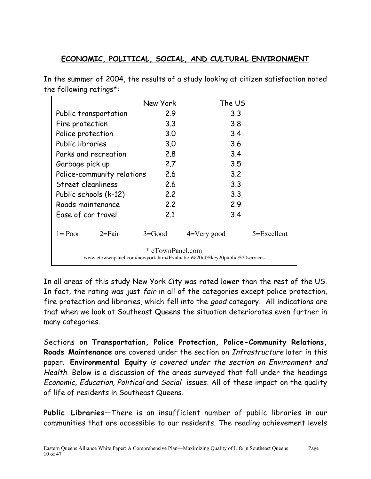#### **ECONOMIC, POLITICAL, SOCIAL, AND CULTURAL ENVIRONMENT**

In the summer of 2004, the results of a study looking at citizen satisfaction noted the following ratings\*:

|                                                                                            | New York   | The US         |             |  |
|--------------------------------------------------------------------------------------------|------------|----------------|-------------|--|
| Public transportation                                                                      | 2.9        | 3.3            |             |  |
| Fire protection                                                                            | 3.3        | 3.8            |             |  |
| Police protection                                                                          | 3.0        | 3.4            |             |  |
| Public libraries                                                                           | 3.0        | 3.6            |             |  |
| Parks and recreation                                                                       | 2.8        | 3.4            |             |  |
| Garbage pick up                                                                            | 2.7        | 3.5            |             |  |
| Police-community relations                                                                 | 2.6        | 3.2            |             |  |
| Street cleanliness                                                                         | 2.6        | 3.3            |             |  |
| Public schools (k-12)                                                                      | 2.2        | 3.3            |             |  |
| Roads maintenance                                                                          | 2.2        | 2.9            |             |  |
| Ease of car travel                                                                         | 2.1        | 3.4            |             |  |
| $l = Poor$<br>$2 = Fair$                                                                   | $3 = Good$ | $4=V$ ery good | 5=Excellent |  |
| * eTownPanel.com<br>www.etowwnpanel.com/newyork.htm#Evaluation%20of%key20public%20services |            |                |             |  |

In all areas of this study New York City was rated lower than the rest of the US. In fact, the rating was just *fair* in all of the categories except police protection, fire protection and libraries, which fell into the good category. All indications are that when we look at Southeast Queens the situation deteriorates even further in many categories.

Sections on **Transportation, Police Protection, Police-Community Relations, Roads Maintenance** are covered under the section on Infrastructure later in this paper. **Environmental Equity** is covered under the section on Environment and Health. Below is a discussion of the areas surveyed that fall under the headings Economic, Education, Political and Social issues. All of these impact on the quality of life of residents in Southeast Queens.

**Public Libraries**—There is an insufficient number of public libraries in our communities that are accessible to our residents. The reading achievement levels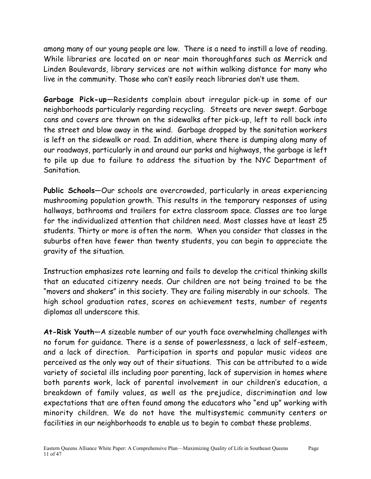among many of our young people are low. There is a need to instill a love of reading. While libraries are located on or near main thoroughfares such as Merrick and Linden Boulevards, library services are not within walking distance for many who live in the community. Those who can't easily reach libraries don't use them.

**Garbage Pick-up**—Residents complain about irregular pick-up in some of our neighborhoods particularly regarding recycling. Streets are never swept. Garbage cans and covers are thrown on the sidewalks after pick-up, left to roll back into the street and blow away in the wind. Garbage dropped by the sanitation workers is left on the sidewalk or road. In addition, where there is dumping along many of our roadways, particularly in and around our parks and highways, the garbage is left to pile up due to failure to address the situation by the NYC Department of Sanitation.

**Public Schools**—Our schools are overcrowded, particularly in areas experiencing mushrooming population growth. This results in the temporary responses of using hallways, bathrooms and trailers for extra classroom space. Classes are too large for the individualized attention that children need. Most classes have at least 25 students. Thirty or more is often the norm. When you consider that classes in the suburbs often have fewer than twenty students, you can begin to appreciate the gravity of the situation.

Instruction emphasizes rote learning and fails to develop the critical thinking skills that an educated citizenry needs. Our children are not being trained to be the "movers and shakers" in this society. They are failing miserably in our schools. The high school graduation rates, scores on achievement tests, number of regents diplomas all underscore this.

**At-Risk Youth**—A sizeable number of our youth face overwhelming challenges with no forum for guidance. There is a sense of powerlessness, a lack of self-esteem, and a lack of direction. Participation in sports and popular music videos are perceived as the only way out of their situations. This can be attributed to a wide variety of societal ills including poor parenting, lack of supervision in homes where both parents work, lack of parental involvement in our children's education, a breakdown of family values, as well as the prejudice, discrimination and low expectations that are often found among the educators who "end up" working with minority children. We do not have the multisystemic community centers or facilities in our neighborhoods to enable us to begin to combat these problems.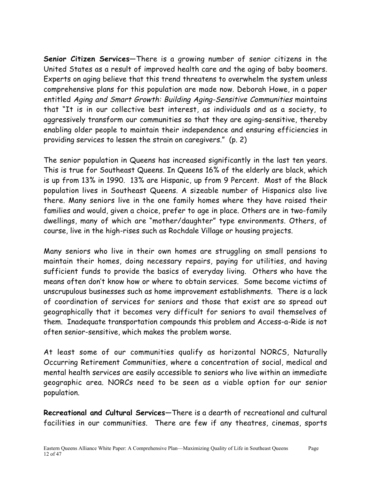**Senior Citizen Services**—There is a growing number of senior citizens in the United States as a result of improved health care and the aging of baby boomers. Experts on aging believe that this trend threatens to overwhelm the system unless comprehensive plans for this population are made now. Deborah Howe, in a paper entitled Aging and Smart Growth: Building Aging-Sensitive Communities maintains that "It is in our collective best interest, as individuals and as a society, to aggressively transform our communities so that they are aging-sensitive, thereby enabling older people to maintain their independence and ensuring efficiencies in providing services to lessen the strain on caregivers." (p. 2)

The senior population in Queens has increased significantly in the last ten years. This is true for Southeast Queens. In Queens 16% of the elderly are black, which is up from 13% in 1990. 13% are Hispanic, up from 9 Percent. Most of the Black population lives in Southeast Queens. A sizeable number of Hispanics also live there. Many seniors live in the one family homes where they have raised their families and would, given a choice, prefer to age in place. Others are in two-family dwellings, many of which are "mother/daughter" type environments. Others, of course, live in the high-rises such as Rochdale Village or housing projects.

Many seniors who live in their own homes are struggling on small pensions to maintain their homes, doing necessary repairs, paying for utilities, and having sufficient funds to provide the basics of everyday living. Others who have the means often don't know how or where to obtain services. Some become victims of unscrupulous businesses such as home improvement establishments. There is a lack of coordination of services for seniors and those that exist are so spread out geographically that it becomes very difficult for seniors to avail themselves of them. Inadequate transportation compounds this problem and Access-a-Ride is not often senior-sensitive, which makes the problem worse.

At least some of our communities qualify as horizontal NORCS, Naturally Occurring Retirement Communities, where a concentration of social, medical and mental health services are easily accessible to seniors who live within an immediate geographic area. NORCs need to be seen as a viable option for our senior population.

**Recreational and Cultural Services**—There is a dearth of recreational and cultural facilities in our communities. There are few if any theatres, cinemas, sports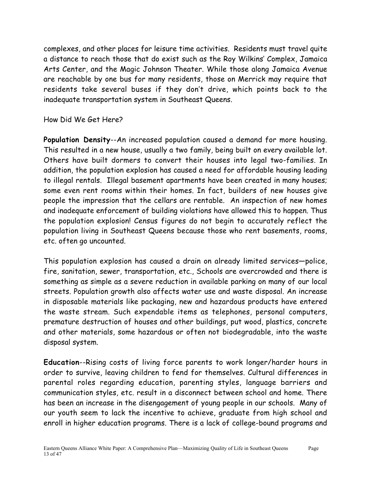complexes, and other places for leisure time activities. Residents must travel quite a distance to reach those that do exist such as the Roy Wilkins' Complex, Jamaica Arts Center, and the Magic Johnson Theater. While those along Jamaica Avenue are reachable by one bus for many residents, those on Merrick may require that residents take several buses if they don't drive, which points back to the inadequate transportation system in Southeast Queens.

How Did We Get Here?

**Population Density**--An increased population caused a demand for more housing. This resulted in a new house, usually a two family, being built on every available lot. Others have built dormers to convert their houses into legal two-families. In addition, the population explosion has caused a need for affordable housing leading to illegal rentals. Illegal basement apartments have been created in many houses; some even rent rooms within their homes. In fact, builders of new houses give people the impression that the cellars are rentable. An inspection of new homes and inadequate enforcement of building violations have allowed this to happen. Thus the population explosion! Census figures do not begin to accurately reflect the population living in Southeast Queens because those who rent basements, rooms, etc. often go uncounted.

This population explosion has caused a drain on already limited services—police, fire, sanitation, sewer, transportation, etc., Schools are overcrowded and there is something as simple as a severe reduction in available parking on many of our local streets. Population growth also affects water use and waste disposal. An increase in disposable materials like packaging, new and hazardous products have entered the waste stream. Such expendable items as telephones, personal computers, premature destruction of houses and other buildings, put wood, plastics, concrete and other materials, some hazardous or often not biodegradable, into the waste disposal system.

**Education**--Rising costs of living force parents to work longer/harder hours in order to survive, leaving children to fend for themselves. Cultural differences in parental roles regarding education, parenting styles, language barriers and communication styles, etc. result in a disconnect between school and home. There has been an increase in the disengagement of young people in our schools. Many of our youth seem to lack the incentive to achieve, graduate from high school and enroll in higher education programs. There is a lack of college-bound programs and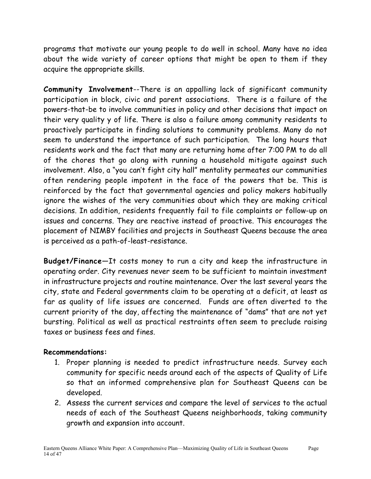programs that motivate our young people to do well in school. Many have no idea about the wide variety of career options that might be open to them if they acquire the appropriate skills.

**Community Involvement**--There is an appalling lack of significant community participation in block, civic and parent associations. There is a failure of the powers-that-be to involve communities in policy and other decisions that impact on their very quality y of life. There is also a failure among community residents to proactively participate in finding solutions to community problems. Many do not seem to understand the importance of such participation. The long hours that residents work and the fact that many are returning home after 7:00 PM to do all of the chores that go along with running a household mitigate against such involvement. Also, a "you can't fight city hall" mentality permeates our communities often rendering people impotent in the face of the powers that be. This is reinforced by the fact that governmental agencies and policy makers habitually ignore the wishes of the very communities about which they are making critical decisions. In addition, residents frequently fail to file complaints or follow-up on issues and concerns. They are reactive instead of proactive. This encourages the placement of NIMBY facilities and projects in Southeast Queens because the area is perceived as a path-of-least-resistance.

**Budget/Finance**—It costs money to run a city and keep the infrastructure in operating order. City revenues never seem to be sufficient to maintain investment in infrastructure projects and routine maintenance. Over the last several years the city, state and Federal governments claim to be operating at a deficit, at least as far as quality of life issues are concerned. Funds are often diverted to the current priority of the day, affecting the maintenance of "dams" that are not yet bursting. Political as well as practical restraints often seem to preclude raising taxes or business fees and fines.

#### **Recommendations:**

- 1. Proper planning is needed to predict infrastructure needs. Survey each community for specific needs around each of the aspects of Quality of Life so that an informed comprehensive plan for Southeast Queens can be developed.
- 2. Assess the current services and compare the level of services to the actual needs of each of the Southeast Queens neighborhoods, taking community growth and expansion into account.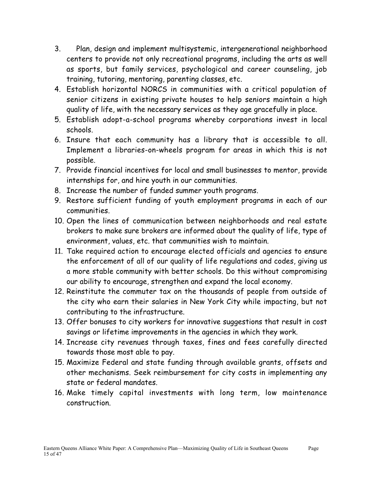- 3. Plan, design and implement multisystemic, intergenerational neighborhood centers to provide not only recreational programs, including the arts as well as sports, but family services, psychological and career counseling, job training, tutoring, mentoring, parenting classes, etc.
- 4. Establish horizontal NORCS in communities with a critical population of senior citizens in existing private houses to help seniors maintain a high quality of life, with the necessary services as they age gracefully in place.
- 5. Establish adopt-a-school programs whereby corporations invest in local schools.
- 6. Insure that each community has a library that is accessible to all. Implement a libraries-on-wheels program for areas in which this is not possible.
- 7. Provide financial incentives for local and small businesses to mentor, provide internships for, and hire youth in our communities.
- 8. Increase the number of funded summer youth programs.
- 9. Restore sufficient funding of youth employment programs in each of our communities.
- 10. Open the lines of communication between neighborhoods and real estate brokers to make sure brokers are informed about the quality of life, type of environment, values, etc. that communities wish to maintain.
- 11. Take required action to encourage elected officials and agencies to ensure the enforcement of all of our quality of life regulations and codes, giving us a more stable community with better schools. Do this without compromising our ability to encourage, strengthen and expand the local economy.
- 12. Reinstitute the commuter tax on the thousands of people from outside of the city who earn their salaries in New York City while impacting, but not contributing to the infrastructure.
- 13. Offer bonuses to city workers for innovative suggestions that result in cost savings or lifetime improvements in the agencies in which they work.
- 14. Increase city revenues through taxes, fines and fees carefully directed towards those most able to pay.
- 15. Maximize Federal and state funding through available grants, offsets and other mechanisms. Seek reimbursement for city costs in implementing any state or federal mandates.
- 16. Make timely capital investments with long term, low maintenance construction.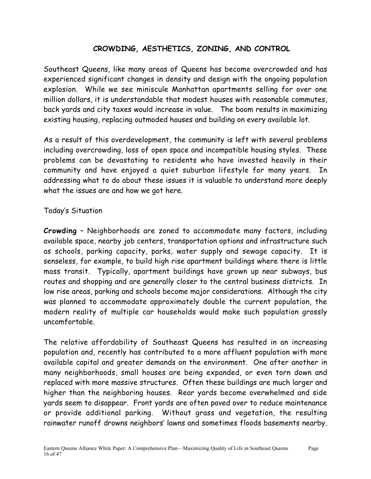#### **CROWDING, AESTHETICS, ZONING, AND CONTROL**

Southeast Queens, like many areas of Queens has become overcrowded and has experienced significant changes in density and design with the ongoing population explosion. While we see miniscule Manhattan apartments selling for over one million dollars, it is understandable that modest houses with reasonable commutes, back yards and city taxes would increase in value. The boom results in maximizing existing housing, replacing outmoded houses and building on every available lot.

As a result of this overdevelopment, the community is left with several problems including overcrowding, loss of open space and incompatible housing styles. These problems can be devastating to residents who have invested heavily in their community and have enjoyed a quiet suburban lifestyle for many years. In addressing what to do about these issues it is valuable to understand more deeply what the issues are and how we got here.

#### Today's Situation

**Crowding** – Neighborhoods are zoned to accommodate many factors, including available space, nearby job centers, transportation options and infrastructure such as schools, parking capacity, parks, water supply and sewage capacity. It is senseless, for example, to build high rise apartment buildings where there is little mass transit. Typically, apartment buildings have grown up near subways, bus routes and shopping and are generally closer to the central business districts. In low rise areas, parking and schools become major considerations. Although the city was planned to accommodate approximately double the current population, the modern reality of multiple car households would make such population grossly uncomfortable.

The relative affordability of Southeast Queens has resulted in an increasing population and, recently has contributed to a more affluent population with more available capital and greater demands on the environment. One after another in many neighborhoods, small houses are being expanded, or even torn down and replaced with more massive structures. Often these buildings are much larger and higher than the neighboring houses. Rear yards become overwhelmed and side yards seem to disappear. Front yards are often paved over to reduce maintenance or provide additional parking. Without grass and vegetation, the resulting rainwater runoff drowns neighbors' lawns and sometimes floods basements nearby.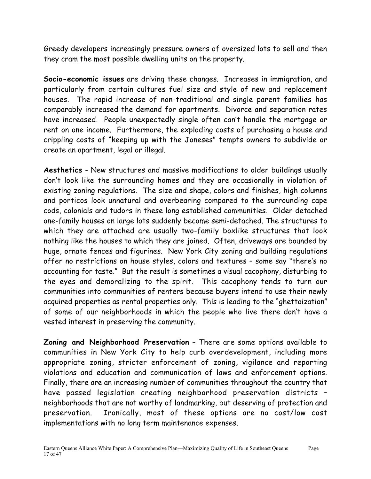Greedy developers increasingly pressure owners of oversized lots to sell and then they cram the most possible dwelling units on the property.

**Socio-economic issues** are driving these changes. Increases in immigration, and particularly from certain cultures fuel size and style of new and replacement houses. The rapid increase of non-traditional and single parent families has comparably increased the demand for apartments. Divorce and separation rates have increased. People unexpectedly single often can't handle the mortgage or rent on one income. Furthermore, the exploding costs of purchasing a house and crippling costs of "keeping up with the Joneses" tempts owners to subdivide or create an apartment, legal or illegal.

**Aesthetics** - New structures and massive modifications to older buildings usually don't look like the surrounding homes and they are occasionally in violation of existing zoning regulations. The size and shape, colors and finishes, high columns and porticos look unnatural and overbearing compared to the surrounding cape cods, colonials and tudors in these long established communities. Older detached one-family houses on large lots suddenly become semi-detached. The structures to which they are attached are usually two-family boxlike structures that look nothing like the houses to which they are joined. Often, driveways are bounded by huge, ornate fences and figurines. New York City zoning and building regulations offer no restrictions on house styles, colors and textures – some say "there's no accounting for taste." But the result is sometimes a visual cacophony, disturbing to the eyes and demoralizing to the spirit. This cacophony tends to turn our communities into communities of renters because buyers intend to use their newly acquired properties as rental properties only. This is leading to the "ghettoization" of some of our neighborhoods in which the people who live there don't have a vested interest in preserving the community.

**Zoning and Neighborhood Preservation** – There are some options available to communities in New York City to help curb overdevelopment, including more appropriate zoning, stricter enforcement of zoning, vigilance and reporting violations and education and communication of laws and enforcement options. Finally, there are an increasing number of communities throughout the country that have passed legislation creating neighborhood preservation districts – neighborhoods that are not worthy of landmarking, but deserving of protection and preservation. Ironically, most of these options are no cost/low cost implementations with no long term maintenance expenses.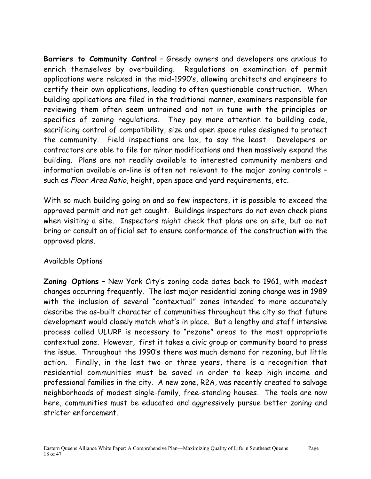**Barriers to Community Control** – Greedy owners and developers are anxious to enrich themselves by overbuilding. Regulations on examination of permit applications were relaxed in the mid-1990's, allowing architects and engineers to certify their own applications, leading to often questionable construction. When building applications are filed in the traditional manner, examiners responsible for reviewing them often seem untrained and not in tune with the principles or specifics of zoning regulations. They pay more attention to building code, sacrificing control of compatibility, size and open space rules designed to protect the community. Field inspections are lax, to say the least. Developers or contractors are able to file for minor modifications and then massively expand the building. Plans are not readily available to interested community members and information available on-line is often not relevant to the major zoning controls – such as Floor Area Ratio, height, open space and yard requirements, etc.

With so much building going on and so few inspectors, it is possible to exceed the approved permit and not get caught. Buildings inspectors do not even check plans when visiting a site. Inspectors might check that plans are on site, but do not bring or consult an official set to ensure conformance of the construction with the approved plans.

#### Available Options

**Zoning Options** – New York City's zoning code dates back to 1961, with modest changes occurring frequently. The last major residential zoning change was in 1989 with the inclusion of several "contextual" zones intended to more accurately describe the as-built character of communities throughout the city so that future development would closely match what's in place. But a lengthy and staff intensive process called ULURP is necessary to "rezone" areas to the most appropriate contextual zone. However, first it takes a civic group or community board to press the issue. Throughout the 1990's there was much demand for rezoning, but little action. Finally, in the last two or three years, there is a recognition that residential communities must be saved in order to keep high-income and professional families in the city. A new zone, R2A, was recently created to salvage neighborhoods of modest single-family, free-standing houses. The tools are now here, communities must be educated and aggressively pursue better zoning and stricter enforcement.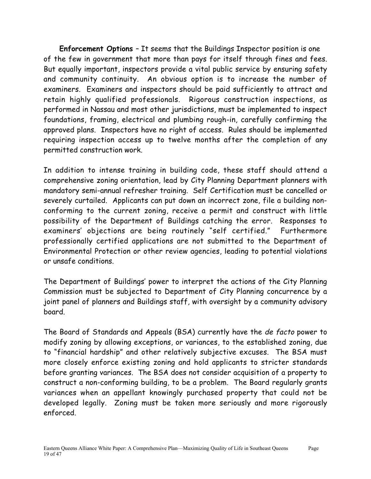**Enforcement Options** – It seems that the Buildings Inspector position is one of the few in government that more than pays for itself through fines and fees. But equally important, inspectors provide a vital public service by ensuring safety and community continuity. An obvious option is to increase the number of examiners. Examiners and inspectors should be paid sufficiently to attract and retain highly qualified professionals. Rigorous construction inspections, as performed in Nassau and most other jurisdictions, must be implemented to inspect foundations, framing, electrical and plumbing rough-in, carefully confirming the approved plans. Inspectors have no right of access. Rules should be implemented requiring inspection access up to twelve months after the completion of any permitted construction work.

In addition to intense training in building code, these staff should attend a comprehensive zoning orientation, lead by City Planning Department planners with mandatory semi-annual refresher training. Self Certification must be cancelled or severely curtailed. Applicants can put down an incorrect zone, file a building nonconforming to the current zoning, receive a permit and construct with little possibility of the Department of Buildings catching the error. Responses to examiners' objections are being routinely "self certified." Furthermore professionally certified applications are not submitted to the Department of Environmental Protection or other review agencies, leading to potential violations or unsafe conditions.

The Department of Buildings' power to interpret the actions of the City Planning Commission must be subjected to Department of City Planning concurrence by a joint panel of planners and Buildings staff, with oversight by a community advisory board.

The Board of Standards and Appeals (BSA) currently have the de facto power to modify zoning by allowing exceptions, or variances, to the established zoning, due to "financial hardship" and other relatively subjective excuses. The BSA must more closely enforce existing zoning and hold applicants to stricter standards before granting variances. The BSA does not consider acquisition of a property to construct a non-conforming building, to be a problem. The Board regularly grants variances when an appellant knowingly purchased property that could not be developed legally. Zoning must be taken more seriously and more rigorously enforced.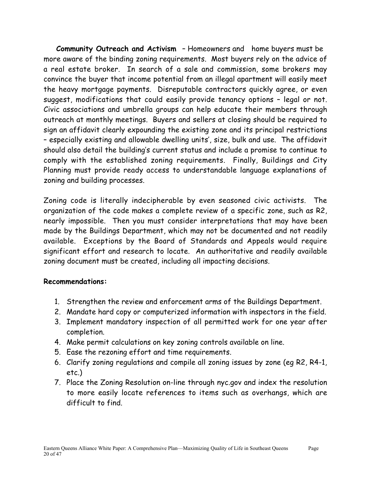**Community Outreach and Activism** – Homeowners and home buyers must be more aware of the binding zoning requirements. Most buyers rely on the advice of a real estate broker. In search of a sale and commission, some brokers may convince the buyer that income potential from an illegal apartment will easily meet the heavy mortgage payments. Disreputable contractors quickly agree, or even suggest, modifications that could easily provide tenancy options – legal or not. Civic associations and umbrella groups can help educate their members through outreach at monthly meetings. Buyers and sellers at closing should be required to sign an affidavit clearly expounding the existing zone and its principal restrictions – especially existing and allowable dwelling units', size, bulk and use. The affidavit should also detail the building's current status and include a promise to continue to comply with the established zoning requirements. Finally, Buildings and City Planning must provide ready access to understandable language explanations of zoning and building processes.

Zoning code is literally indecipherable by even seasoned civic activists. The organization of the code makes a complete review of a specific zone, such as R2, nearly impossible. Then you must consider interpretations that may have been made by the Buildings Department, which may not be documented and not readily available. Exceptions by the Board of Standards and Appeals would require significant effort and research to locate. An authoritative and readily available zoning document must be created, including all impacting decisions.

#### **Recommendations:**

- 1. Strengthen the review and enforcement arms of the Buildings Department.
- 2. Mandate hard copy or computerized information with inspectors in the field.
- 3. Implement mandatory inspection of all permitted work for one year after completion.
- 4. Make permit calculations on key zoning controls available on line.
- 5. Ease the rezoning effort and time requirements.
- 6. Clarify zoning regulations and compile all zoning issues by zone (eg R2, R4-1, etc.)
- 7. Place the Zoning Resolution on-line through nyc.gov and index the resolution to more easily locate references to items such as overhangs, which are difficult to find.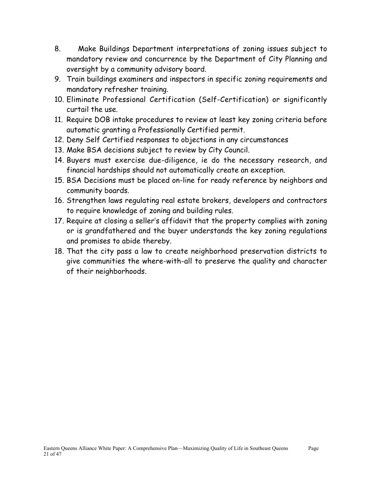- 8. Make Buildings Department interpretations of zoning issues subject to mandatory review and concurrence by the Department of City Planning and oversight by a community advisory board.
- 9. Train buildings examiners and inspectors in specific zoning requirements and mandatory refresher training.
- 10. Eliminate Professional Certification (Self-Certification) or significantly curtail the use.
- 11. Require DOB intake procedures to review at least key zoning criteria before automatic granting a Professionally Certified permit.
- 12. Deny Self Certified responses to objections in any circumstances
- 13. Make BSA decisions subject to review by City Council.
- 14. Buyers must exercise due-diligence, ie do the necessary research, and financial hardships should not automatically create an exception.
- 15. BSA Decisions must be placed on-line for ready reference by neighbors and community boards.
- 16. Strengthen laws regulating real estate brokers, developers and contractors to require knowledge of zoning and building rules.
- 17. Require at closing a seller's affidavit that the property complies with zoning or is grandfathered and the buyer understands the key zoning regulations and promises to abide thereby.
- 18. That the city pass a law to create neighborhood preservation districts to give communities the where-with-all to preserve the quality and character of their neighborhoods.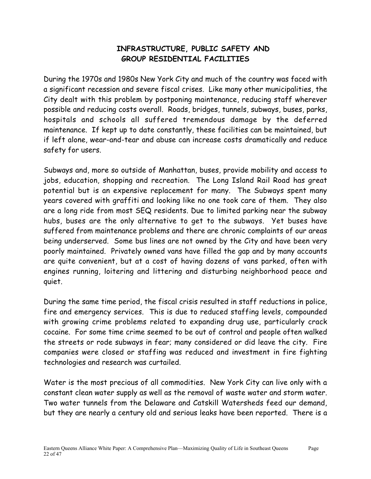#### **INFRASTRUCTURE, PUBLIC SAFETY AND GROUP RESIDENTIAL FACILITIES**

During the 1970s and 1980s New York City and much of the country was faced with a significant recession and severe fiscal crises. Like many other municipalities, the City dealt with this problem by postponing maintenance, reducing staff wherever possible and reducing costs overall. Roads, bridges, tunnels, subways, buses, parks, hospitals and schools all suffered tremendous damage by the deferred maintenance. If kept up to date constantly, these facilities can be maintained, but if left alone, wear-and-tear and abuse can increase costs dramatically and reduce safety for users.

Subways and, more so outside of Manhattan, buses, provide mobility and access to jobs, education, shopping and recreation. The Long Island Rail Road has great potential but is an expensive replacement for many. The Subways spent many years covered with graffiti and looking like no one took care of them. They also are a long ride from most SEQ residents. Due to limited parking near the subway hubs, buses are the only alternative to get to the subways. Yet buses have suffered from maintenance problems and there are chronic complaints of our areas being underserved. Some bus lines are not owned by the City and have been very poorly maintained. Privately owned vans have filled the gap and by many accounts are quite convenient, but at a cost of having dozens of vans parked, often with engines running, loitering and littering and disturbing neighborhood peace and quiet.

During the same time period, the fiscal crisis resulted in staff reductions in police, fire and emergency services. This is due to reduced staffing levels, compounded with growing crime problems related to expanding drug use, particularly crack cocaine. For some time crime seemed to be out of control and people often walked the streets or rode subways in fear; many considered or did leave the city. Fire companies were closed or staffing was reduced and investment in fire fighting technologies and research was curtailed.

Water is the most precious of all commodities. New York City can live only with a constant clean water supply as well as the removal of waste water and storm water. Two water tunnels from the Delaware and Catskill Watersheds feed our demand, but they are nearly a century old and serious leaks have been reported. There is a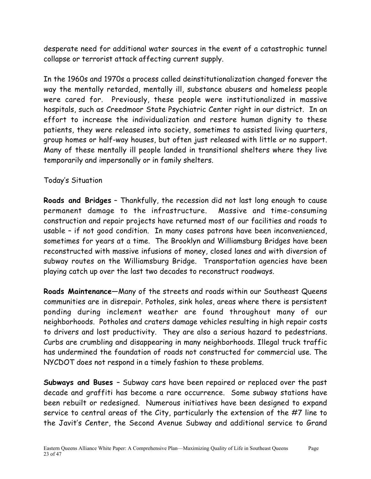desperate need for additional water sources in the event of a catastrophic tunnel collapse or terrorist attack affecting current supply.

In the 1960s and 1970s a process called deinstitutionalization changed forever the way the mentally retarded, mentally ill, substance abusers and homeless people were cared for. Previously, these people were institutionalized in massive hospitals, such as Creedmoor State Psychiatric Center right in our district. In an effort to increase the individualization and restore human dignity to these patients, they were released into society, sometimes to assisted living quarters, group homes or half-way houses, but often just released with little or no support. Many of these mentally ill people landed in transitional shelters where they live temporarily and impersonally or in family shelters.

#### Today's Situation

**Roads and Bridges** – Thankfully, the recession did not last long enough to cause permanent damage to the infrastructure. Massive and time-consuming construction and repair projects have returned most of our facilities and roads to usable – if not good condition. In many cases patrons have been inconvenienced, sometimes for years at a time. The Brooklyn and Williamsburg Bridges have been reconstructed with massive infusions of money, closed lanes and with diversion of subway routes on the Williamsburg Bridge. Transportation agencies have been playing catch up over the last two decades to reconstruct roadways.

**Roads Maintenance**—Many of the streets and roads within our Southeast Queens communities are in disrepair. Potholes, sink holes, areas where there is persistent ponding during inclement weather are found throughout many of our neighborhoods. Potholes and craters damage vehicles resulting in high repair costs to drivers and lost productivity. They are also a serious hazard to pedestrians. Curbs are crumbling and disappearing in many neighborhoods. Illegal truck traffic has undermined the foundation of roads not constructed for commercial use. The NYCDOT does not respond in a timely fashion to these problems.

**Subways and Buses** – Subway cars have been repaired or replaced over the past decade and graffiti has become a rare occurrence. Some subway stations have been rebuilt or redesigned. Numerous initiatives have been designed to expand service to central areas of the City, particularly the extension of the #7 line to the Javit's Center, the Second Avenue Subway and additional service to Grand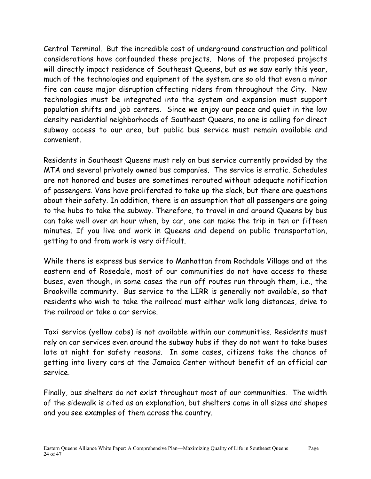Central Terminal. But the incredible cost of underground construction and political considerations have confounded these projects. None of the proposed projects will directly impact residence of Southeast Queens, but as we saw early this year, much of the technologies and equipment of the system are so old that even a minor fire can cause major disruption affecting riders from throughout the City. New technologies must be integrated into the system and expansion must support population shifts and job centers. Since we enjoy our peace and quiet in the low density residential neighborhoods of Southeast Queens, no one is calling for direct subway access to our area, but public bus service must remain available and convenient.

Residents in Southeast Queens must rely on bus service currently provided by the MTA and several privately owned bus companies. The service is erratic. Schedules are not honored and buses are sometimes rerouted without adequate notification of passengers. Vans have proliferated to take up the slack, but there are questions about their safety. In addition, there is an assumption that all passengers are going to the hubs to take the subway. Therefore, to travel in and around Queens by bus can take well over an hour when, by car, one can make the trip in ten or fifteen minutes. If you live and work in Queens and depend on public transportation, getting to and from work is very difficult.

While there is express bus service to Manhattan from Rochdale Village and at the eastern end of Rosedale, most of our communities do not have access to these buses, even though, in some cases the run-off routes run through them, i.e., the Brookville community. Bus service to the LIRR is generally not available, so that residents who wish to take the railroad must either walk long distances, drive to the railroad or take a car service.

Taxi service (yellow cabs) is not available within our communities. Residents must rely on car services even around the subway hubs if they do not want to take buses late at night for safety reasons. In some cases, citizens take the chance of getting into livery cars at the Jamaica Center without benefit of an official car service.

Finally, bus shelters do not exist throughout most of our communities. The width of the sidewalk is cited as an explanation, but shelters come in all sizes and shapes and you see examples of them across the country.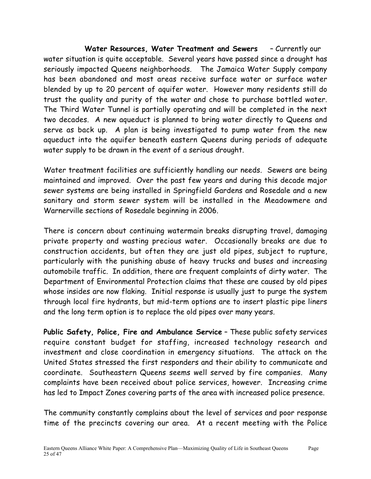**Water Resources, Water Treatment and Sewers** – Currently our water situation is quite acceptable. Several years have passed since a drought has seriously impacted Queens neighborhoods. The Jamaica Water Supply company has been abandoned and most areas receive surface water or surface water blended by up to 20 percent of aquifer water. However many residents still do trust the quality and purity of the water and chose to purchase bottled water. The Third Water Tunnel is partially operating and will be completed in the next two decades. A new aqueduct is planned to bring water directly to Queens and serve as back up. A plan is being investigated to pump water from the new aqueduct into the aquifer beneath eastern Queens during periods of adequate water supply to be drawn in the event of a serious drought.

Water treatment facilities are sufficiently handling our needs. Sewers are being maintained and improved. Over the past few years and during this decade major sewer systems are being installed in Springfield Gardens and Rosedale and a new sanitary and storm sewer system will be installed in the Meadowmere and Warnerville sections of Rosedale beginning in 2006.

There is concern about continuing watermain breaks disrupting travel, damaging private property and wasting precious water. Occasionally breaks are due to construction accidents, but often they are just old pipes, subject to rupture, particularly with the punishing abuse of heavy trucks and buses and increasing automobile traffic. In addition, there are frequent complaints of dirty water. The Department of Environmental Protection claims that these are caused by old pipes whose insides are now flaking. Initial response is usually just to purge the system through local fire hydrants, but mid-term options are to insert plastic pipe liners and the long term option is to replace the old pipes over many years.

**Public Safety, Police, Fire and Ambulance Service** – These public safety services require constant budget for staffing, increased technology research and investment and close coordination in emergency situations. The attack on the United States stressed the first responders and their ability to communicate and coordinate. Southeastern Queens seems well served by fire companies. Many complaints have been received about police services, however. Increasing crime has led to Impact Zones covering parts of the area with increased police presence.

The community constantly complains about the level of services and poor response time of the precincts covering our area. At a recent meeting with the Police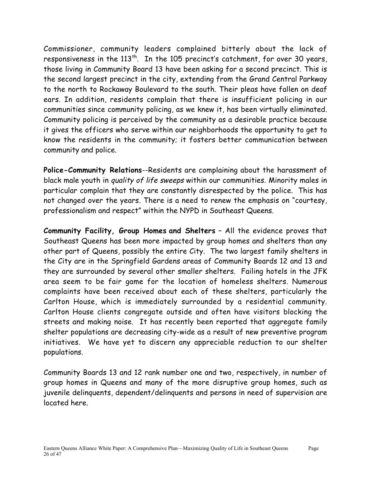Commissioner, community leaders complained bitterly about the lack of responsiveness in the 113<sup>th</sup>. In the 105 precinct's catchment, for over 30 years, those living in Community Board 13 have been asking for a second precinct. This is the second largest precinct in the city, extending from the Grand Central Parkway to the north to Rockaway Boulevard to the south. Their pleas have fallen on deaf ears. In addition, residents complain that there is insufficient policing in our communities since community policing, as we knew it, has been virtually eliminated. Community policing is perceived by the community as a desirable practice because it gives the officers who serve within our neighborhoods the opportunity to get to know the residents in the community; it fosters better communication between community and police.

**Police-Community Relations**--Residents are complaining about the harassment of black male youth in quality of life sweeps within our communities. Minority males in particular complain that they are constantly disrespected by the police. This has not changed over the years. There is a need to renew the emphasis on "courtesy, professionalism and respect" within the NYPD in Southeast Queens.

**Community Facility, Group Homes and Shelters** – All the evidence proves that Southeast Queens has been more impacted by group homes and shelters than any other part of Queens, possibly the entire City. The two largest family shelters in the City are in the Springfield Gardens areas of Community Boards 12 and 13 and they are surrounded by several other smaller shelters. Failing hotels in the JFK area seem to be fair game for the location of homeless shelters. Numerous complaints have been received about each of these shelters, particularly the Carlton House, which is immediately surrounded by a residential community. Carlton House clients congregate outside and often have visitors blocking the streets and making noise. It has recently been reported that aggregate family shelter populations are decreasing city-wide as a result of new preventive program initiatives. We have yet to discern any appreciable reduction to our shelter populations.

Community Boards 13 and 12 rank number one and two, respectively, in number of group homes in Queens and many of the more disruptive group homes, such as juvenile delinquents, dependent/delinquents and persons in need of supervision are located here.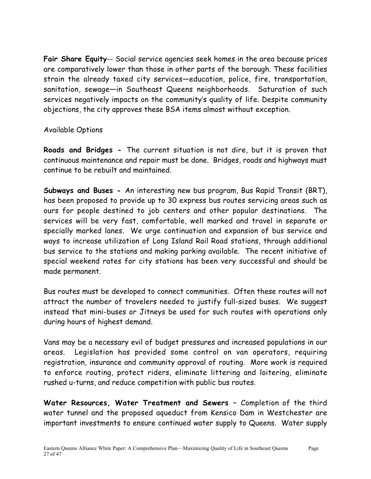**Fair Share Equity**-- Social service agencies seek homes in the area because prices are comparatively lower than those in other parts of the borough. These facilities strain the already taxed city services—education, police, fire, transportation, sanitation, sewage—in Southeast Queens neighborhoods. Saturation of such services negatively impacts on the community's quality of life. Despite community objections, the city approves these BSA items almost without exception.

#### Available Options

**Roads and Bridges -** The current situation is not dire, but it is proven that continuous maintenance and repair must be done. Bridges, roads and highways must continue to be rebuilt and maintained.

**Subways and Buses -** An interesting new bus program, Bus Rapid Transit (BRT), has been proposed to provide up to 30 express bus routes servicing areas such as ours for people destined to job centers and other popular destinations. The services will be very fast, comfortable, well marked and travel in separate or specially marked lanes. We urge continuation and expansion of bus service and ways to increase utilization of Long Island Rail Road stations, through additional bus service to the stations and making parking available. The recent initiative of special weekend rates for city stations has been very successful and should be made permanent.

Bus routes must be developed to connect communities. Often these routes will not attract the number of travelers needed to justify full-sized buses. We suggest instead that mini-buses or Jitneys be used for such routes with operations only during hours of highest demand.

Vans may be a necessary evil of budget pressures and increased populations in our areas. Legislation has provided some control on van operators, requiring registration, insurance and community approval of routing. More work is required to enforce routing, protect riders, eliminate littering and loitering, eliminate rushed u-turns, and reduce competition with public bus routes.

**Water Resources, Water Treatment and Sewers –** Completion of the third water tunnel and the proposed aqueduct from Kensico Dam in Westchester are important investments to ensure continued water supply to Queens. Water supply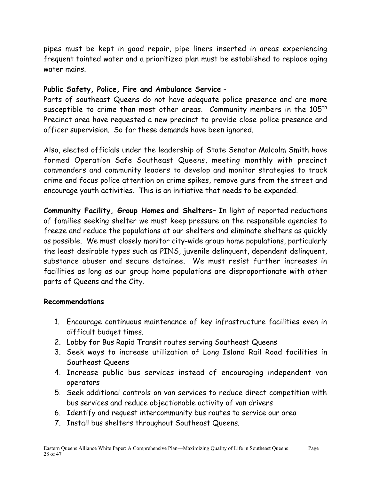pipes must be kept in good repair, pipe liners inserted in areas experiencing frequent tainted water and a prioritized plan must be established to replace aging water mains.

#### **Public Safety, Police, Fire and Ambulance Service** -

Parts of southeast Queens do not have adequate police presence and are more susceptible to crime than most other areas. Community members in the  $105<sup>th</sup>$ Precinct area have requested a new precinct to provide close police presence and officer supervision. So far these demands have been ignored.

Also, elected officials under the leadership of State Senator Malcolm Smith have formed Operation Safe Southeast Queens, meeting monthly with precinct commanders and community leaders to develop and monitor strategies to track crime and focus police attention on crime spikes, remove guns from the street and encourage youth activities. This is an initiative that needs to be expanded.

**Community Facility, Group Homes and Shelters**– In light of reported reductions of families seeking shelter we must keep pressure on the responsible agencies to freeze and reduce the populations at our shelters and eliminate shelters as quickly as possible. We must closely monitor city-wide group home populations, particularly the least desirable types such as PINS, juvenile delinquent, dependent delinquent, substance abuser and secure detainee. We must resist further increases in facilities as long as our group home populations are disproportionate with other parts of Queens and the City.

#### **Recommendations**

- 1. Encourage continuous maintenance of key infrastructure facilities even in difficult budget times.
- 2. Lobby for Bus Rapid Transit routes serving Southeast Queens
- 3. Seek ways to increase utilization of Long Island Rail Road facilities in Southeast Queens
- 4. Increase public bus services instead of encouraging independent van operators
- 5. Seek additional controls on van services to reduce direct competition with bus services and reduce objectionable activity of van drivers
- 6. Identify and request intercommunity bus routes to service our area
- 7. Install bus shelters throughout Southeast Queens.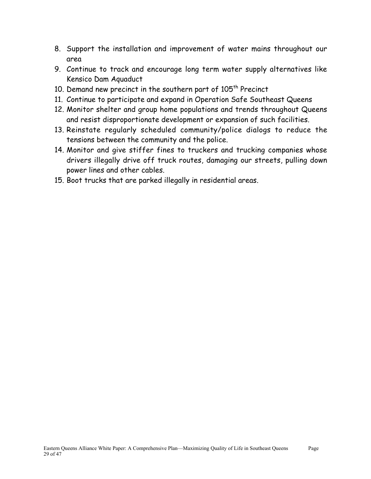- 8. Support the installation and improvement of water mains throughout our area
- 9. Continue to track and encourage long term water supply alternatives like Kensico Dam Aquaduct
- 10. Demand new precinct in the southern part of 105<sup>th</sup> Precinct
- 11. Continue to participate and expand in Operation Safe Southeast Queens
- 12. Monitor shelter and group home populations and trends throughout Queens and resist disproportionate development or expansion of such facilities.
- 13. Reinstate regularly scheduled community/police dialogs to reduce the tensions between the community and the police.
- 14. Monitor and give stiffer fines to truckers and trucking companies whose drivers illegally drive off truck routes, damaging our streets, pulling down power lines and other cables.
- 15. Boot trucks that are parked illegally in residential areas.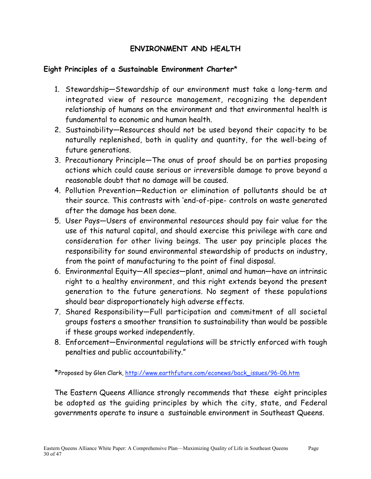#### **ENVIRONMENT AND HEALTH**

#### **Eight Principles of a Sustainable Environment Charter**\*

- 1. Stewardship—Stewardship of our environment must take a long-term and integrated view of resource management, recognizing the dependent relationship of humans on the environment and that environmental health is fundamental to economic and human health.
- 2. Sustainability—Resources should not be used beyond their capacity to be naturally replenished, both in quality and quantity, for the well-being of future generations.
- 3. Precautionary Principle—The onus of proof should be on parties proposing actions which could cause serious or irreversible damage to prove beyond a reasonable doubt that no damage will be caused.
- 4. Pollution Prevention—Reduction or elimination of pollutants should be at their source. This contrasts with 'end-of-pipe- controls on waste generated after the damage has been done.
- 5. User Pays—Users of environmental resources should pay fair value for the use of this natural capital, and should exercise this privilege with care and consideration for other living beings. The user pay principle places the responsibility for sound environmental stewardship of products on industry, from the point of manufacturing to the point of final disposal.
- 6. Environmental Equity—All species—plant, animal and human—have an intrinsic right to a healthy environment, and this right extends beyond the present generation to the future generations. No segment of these populations should bear disproportionately high adverse effects.
- 7. Shared Responsibility—Full participation and commitment of all societal groups fosters a smoother transition to sustainability than would be possible if these groups worked independently.
- 8. Enforcement—Environmental regulations will be strictly enforced with tough penalties and public accountability."

\*Proposed by Glen Clark, http://www.earthfuture.com/econews/back\_issues/96-06.htm

The Eastern Queens Alliance strongly recommends that these eight principles be adopted as the guiding principles by which the city, state, and Federal governments operate to insure a sustainable environment in Southeast Queens.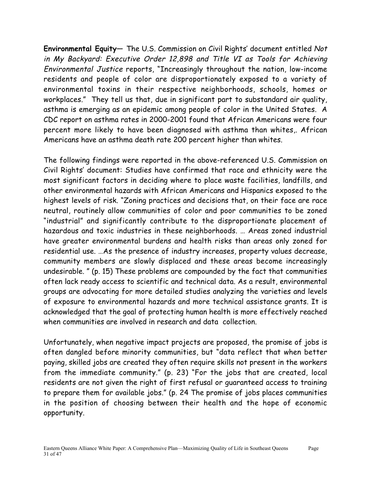**Environmental Equity**— The U.S. Commission on Civil Rights' document entitled Not in My Backyard: Executive Order 12,898 and Title VI as Tools for Achieving Environmental Justice reports, "Increasingly throughout the nation, low-income residents and people of color are disproportionately exposed to a variety of environmental toxins in their respective neighborhoods, schools, homes or workplaces." They tell us that, due in significant part to substandard air quality, asthma is emerging as an epidemic among people of color in the United States. A CDC report on asthma rates in 2000-2001 found that African Americans were four percent more likely to have been diagnosed with asthma than whites,. African Americans have an asthma death rate 200 percent higher than whites.

The following findings were reported in the above-referenced U.S. Commission on Civil Rights' document: Studies have confirmed that race and ethnicity were the most significant factors in deciding where to place waste facilities, landfills, and other environmental hazards with African Americans and Hispanics exposed to the highest levels of risk. "Zoning practices and decisions that, on their face are race neutral, routinely allow communities of color and poor communities to be zoned "industrial" and significantly contribute to the disproportionate placement of hazardous and toxic industries in these neighborhoods. … Areas zoned industrial have greater environmental burdens and health risks than areas only zoned for residential use. …As the presence of industry increases, property values decrease, community members are slowly displaced and these areas become increasingly undesirable. " (p. 15) These problems are compounded by the fact that communities often lack ready access to scientific and technical data. As a result, environmental groups are advocating for more detailed studies analyzing the varieties and levels of exposure to environmental hazards and more technical assistance grants. It is acknowledged that the goal of protecting human health is more effectively reached when communities are involved in research and data collection.

Unfortunately, when negative impact projects are proposed, the promise of jobs is often dangled before minority communities, but "data reflect that when better paying, skilled jobs are created they often require skills not present in the workers from the immediate community." (p. 23) "For the jobs that are created, local residents are not given the right of first refusal or guaranteed access to training to prepare them for available jobs." (p. 24 The promise of jobs places communities in the position of choosing between their health and the hope of economic opportunity.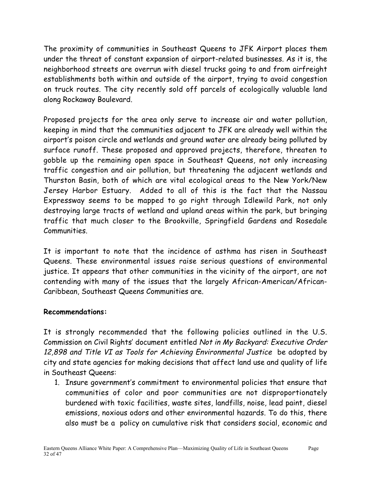The proximity of communities in Southeast Queens to JFK Airport places them under the threat of constant expansion of airport-related businesses. As it is, the neighborhood streets are overrun with diesel trucks going to and from airfreight establishments both within and outside of the airport, trying to avoid congestion on truck routes. The city recently sold off parcels of ecologically valuable land along Rockaway Boulevard.

Proposed projects for the area only serve to increase air and water pollution, keeping in mind that the communities adjacent to JFK are already well within the airport's poison circle and wetlands and ground water are already being polluted by surface runoff. These proposed and approved projects, therefore, threaten to gobble up the remaining open space in Southeast Queens, not only increasing traffic congestion and air pollution, but threatening the adjacent wetlands and Thurston Basin, both of which are vital ecological areas to the New York/New Jersey Harbor Estuary. Added to all of this is the fact that the Nassau Expressway seems to be mapped to go right through Idlewild Park, not only destroying large tracts of wetland and upland areas within the park, but bringing traffic that much closer to the Brookville, Springfield Gardens and Rosedale Communities.

It is important to note that the incidence of asthma has risen in Southeast Queens. These environmental issues raise serious questions of environmental justice. It appears that other communities in the vicinity of the airport, are not contending with many of the issues that the largely African-American/African-Caribbean, Southeast Queens Communities are.

#### **Recommendations:**

It is strongly recommended that the following policies outlined in the U.S. Commission on Civil Rights' document entitled Not in My Backyard: Executive Order 12,898 and Title VI as Tools for Achieving Environmental Justice be adopted by city and state agencies for making decisions that affect land use and quality of life in Southeast Queens:

1. Insure government's commitment to environmental policies that ensure that communities of color and poor communities are not disproportionately burdened with toxic facilities, waste sites, landfills, noise, lead paint, diesel emissions, noxious odors and other environmental hazards. To do this, there also must be a policy on cumulative risk that considers social, economic and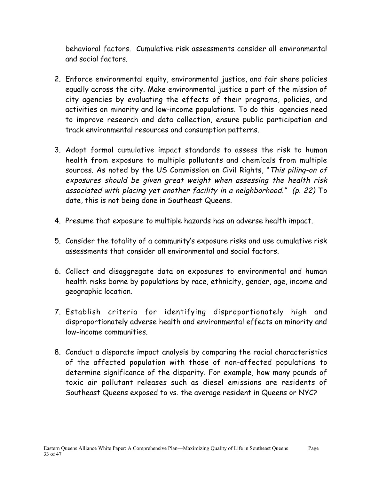behavioral factors. Cumulative risk assessments consider all environmental and social factors.

- 2. Enforce environmental equity, environmental justice, and fair share policies equally across the city. Make environmental justice a part of the mission of city agencies by evaluating the effects of their programs, policies, and activities on minority and low-income populations. To do this agencies need to improve research and data collection, ensure public participation and track environmental resources and consumption patterns.
- 3. Adopt formal cumulative impact standards to assess the risk to human health from exposure to multiple pollutants and chemicals from multiple sources. As noted by the US Commission on Civil Rights, "This piling-on of exposures should be given great weight when assessing the health risk associated with placing yet another facility in a neighborhood." (p. 22) To date, this is not being done in Southeast Queens.
- 4. Presume that exposure to multiple hazards has an adverse health impact.
- 5. Consider the totality of a community's exposure risks and use cumulative risk assessments that consider all environmental and social factors.
- 6. Collect and disaggregate data on exposures to environmental and human health risks borne by populations by race, ethnicity, gender, age, income and geographic location.
- 7. Establish criteria for identifying disproportionately high and disproportionately adverse health and environmental effects on minority and low-income communities.
- 8. Conduct a disparate impact analysis by comparing the racial characteristics of the affected population with those of non-affected populations to determine significance of the disparity. For example, how many pounds of toxic air pollutant releases such as diesel emissions are residents of Southeast Queens exposed to vs. the average resident in Queens or NYC?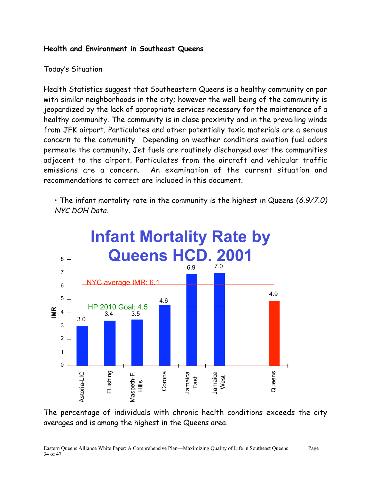#### **Health and Environment in Southeast Queens**

#### Today's Situation

Health Statistics suggest that Southeastern Queens is a healthy community on par with similar neighborhoods in the city; however the well-being of the community is jeopardized by the lack of appropriate services necessary for the maintenance of a healthy community. The community is in close proximity and in the prevailing winds from JFK airport. Particulates and other potentially toxic materials are a serious concern to the community. Depending on weather conditions aviation fuel odors permeate the community. Jet fuels are routinely discharged over the communities adjacent to the airport. Particulates from the aircraft and vehicular traffic emissions are a concern. An examination of the current situation and recommendations to correct are included in this document.

• The infant mortality rate in the community is the highest in Queens (6.9/7.0) NYC DOH Data.



The percentage of individuals with chronic health conditions exceeds the city averages and is among the highest in the Queens area.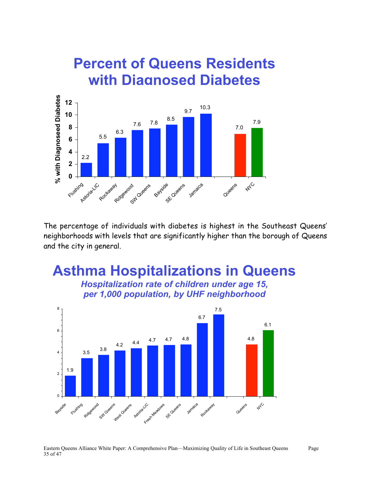# **Percent of Queens Residents with Diagnosed Diabetes**



The percentage of individuals with diabetes is highest in the Southeast Queens' neighborhoods with levels that are significantly higher than the borough of Queens and the city in general.

# **Asthma Hospitalizations in Queens**

*Hospitalization rate of children under age 15, per 1,000 population, by UHF neighborhood*

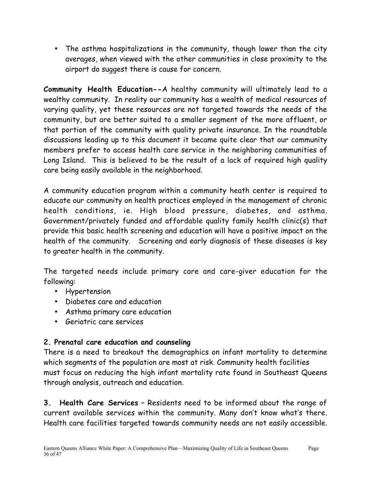• The asthma hospitalizations in the community, though lower than the city averages, when viewed with the other communities in close proximity to the airport do suggest there is cause for concern.

**Community Health Education--**A healthy community will ultimately lead to a wealthy community. In reality our community has a wealth of medical resources of varying quality, yet these resources are not targeted towards the needs of the community, but are better suited to a smaller segment of the more affluent, or that portion of the community with quality private insurance. In the roundtable discussions leading up to this document it became quite clear that our community members prefer to access health care service in the neighboring communities of Long Island. This is believed to be the result of a lack of required high quality care being easily available in the neighborhood.

A community education program within a community heath center is required to educate our community on health practices employed in the management of chronic health conditions, ie. High blood pressure, diabetes, and asthma. Government/privately funded and affordable quality family health clinic(s) that provide this basic health screening and education will have a positive impact on the health of the community. Screening and early diagnosis of these diseases is key to greater health in the community.

The targeted needs include primary care and care-giver education for the following:

- Hypertension
- Diabetes care and education
- Asthma primary care education
- Geriatric care services

### **2. Prenatal care education and counseling**

There is a need to breakout the demographics on infant mortality to determine which segments of the population are most at risk. Community health facilities must focus on reducing the high infant mortality rate found in Southeast Queens through analysis, outreach and education.

**3. Health Care Services** – Residents need to be informed about the range of current available services within the community. Many don't know what's there. Health care facilities targeted towards community needs are not easily accessible.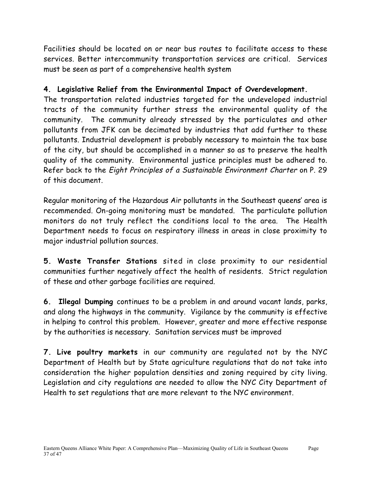Facilities should be located on or near bus routes to facilitate access to these services. Better intercommunity transportation services are critical. Services must be seen as part of a comprehensive health system

#### **4. Legislative Relief from the Environmental Impact of Overdevelopment.**

The transportation related industries targeted for the undeveloped industrial tracts of the community further stress the environmental quality of the community. The community already stressed by the particulates and other pollutants from JFK can be decimated by industries that add further to these pollutants. Industrial development is probably necessary to maintain the tax base of the city, but should be accomplished in a manner so as to preserve the health quality of the community. Environmental justice principles must be adhered to. Refer back to the Eight Principles of a Sustainable Environment Charter on P. 29 of this document.

Regular monitoring of the Hazardous Air pollutants in the Southeast queens' area is recommended. On-going monitoring must be mandated. The particulate pollution monitors do not truly reflect the conditions local to the area. The Health Department needs to focus on respiratory illness in areas in close proximity to major industrial pollution sources.

**5. Waste Transfer Stations** sited in close proximity to our residential communities further negatively affect the health of residents. Strict regulation of these and other garbage facilities are required.

**6. Illegal Dumping** continues to be a problem in and around vacant lands, parks, and along the highways in the community. Vigilance by the community is effective in helping to control this problem. However, greater and more effective response by the authorities is necessary. Sanitation services must be improved

**7. Live poultry markets** in our community are regulated not by the NYC Department of Health but by State agriculture regulations that do not take into consideration the higher population densities and zoning required by city living. Legislation and city regulations are needed to allow the NYC City Department of Health to set regulations that are more relevant to the NYC environment.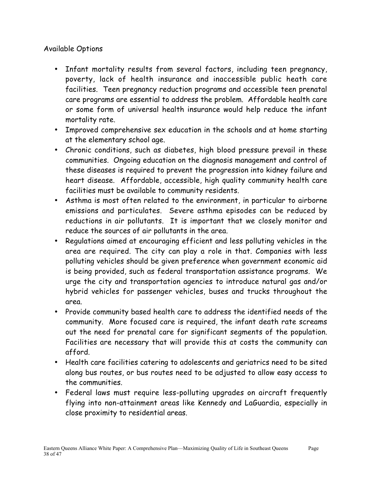#### Available Options

- Infant mortality results from several factors, including teen pregnancy, poverty, lack of health insurance and inaccessible public heath care facilities. Teen pregnancy reduction programs and accessible teen prenatal care programs are essential to address the problem. Affordable health care or some form of universal health insurance would help reduce the infant mortality rate.
- Improved comprehensive sex education in the schools and at home starting at the elementary school age.
- Chronic conditions, such as diabetes, high blood pressure prevail in these communities. Ongoing education on the diagnosis management and control of these diseases is required to prevent the progression into kidney failure and heart disease. Affordable, accessible, high quality community health care facilities must be available to community residents.
- Asthma is most often related to the environment, in particular to airborne emissions and particulates. Severe asthma episodes can be reduced by reductions in air pollutants. It is important that we closely monitor and reduce the sources of air pollutants in the area.
- Regulations aimed at encouraging efficient and less polluting vehicles in the area are required. The city can play a role in that. Companies with less polluting vehicles should be given preference when government economic aid is being provided, such as federal transportation assistance programs. We urge the city and transportation agencies to introduce natural gas and/or hybrid vehicles for passenger vehicles, buses and trucks throughout the area.
- Provide community based health care to address the identified needs of the community. More focused care is required, the infant death rate screams out the need for prenatal care for significant segments of the population. Facilities are necessary that will provide this at costs the community can afford.
- Health care facilities catering to adolescents and geriatrics need to be sited along bus routes, or bus routes need to be adjusted to allow easy access to the communities.
- Federal laws must require less-polluting upgrades on aircraft frequently flying into non-attainment areas like Kennedy and LaGuardia, especially in close proximity to residential areas.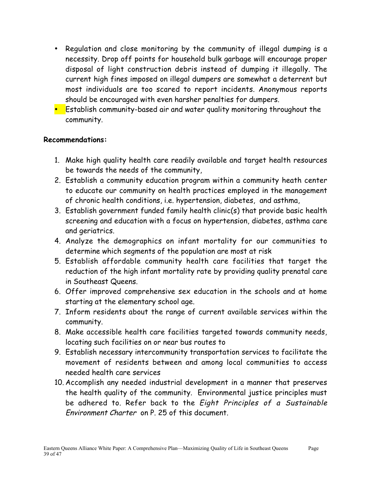- Regulation and close monitoring by the community of illegal dumping is a necessity. Drop off points for household bulk garbage will encourage proper disposal of light construction debris instead of dumping it illegally. The current high fines imposed on illegal dumpers are somewhat a deterrent but most individuals are too scared to report incidents. Anonymous reports should be encouraged with even harsher penalties for dumpers.
- Establish community-based air and water quality monitoring throughout the community.

#### **Recommendations:**

- 1. Make high quality health care readily available and target health resources be towards the needs of the community,
- 2. Establish a community education program within a community heath center to educate our community on health practices employed in the management of chronic health conditions, i.e. hypertension, diabetes, and asthma,
- 3. Establish government funded family health clinic(s) that provide basic health screening and education with a focus on hypertension, diabetes, asthma care and geriatrics.
- 4. Analyze the demographics on infant mortality for our communities to determine which segments of the population are most at risk
- 5. Establish affordable community health care facilities that target the reduction of the high infant mortality rate by providing quality prenatal care in Southeast Queens.
- 6. Offer improved comprehensive sex education in the schools and at home starting at the elementary school age.
- 7. Inform residents about the range of current available services within the community.
- 8. Make accessible health care facilities targeted towards community needs, locating such facilities on or near bus routes to
- 9. Establish necessary intercommunity transportation services to facilitate the movement of residents between and among local communities to access needed health care services
- 10. Accomplish any needed industrial development in a manner that preserves the health quality of the community. Environmental justice principles must be adhered to. Refer back to the Eight Principles of a Sustainable Environment Charter on P. 25 of this document.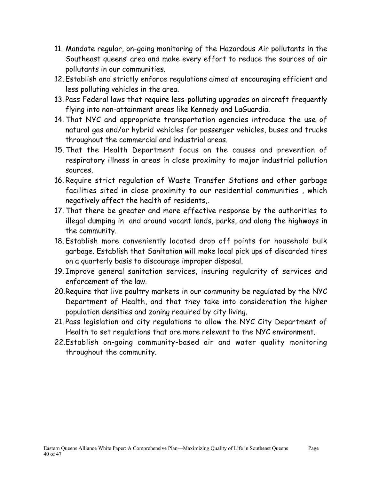- 11. Mandate regular, on-going monitoring of the Hazardous Air pollutants in the Southeast queens' area and make every effort to reduce the sources of air pollutants in our communities.
- 12. Establish and strictly enforce regulations aimed at encouraging efficient and less polluting vehicles in the area.
- 13. Pass Federal laws that require less-polluting upgrades on aircraft frequently flying into non-attainment areas like Kennedy and LaGuardia.
- 14. That NYC and appropriate transportation agencies introduce the use of natural gas and/or hybrid vehicles for passenger vehicles, buses and trucks throughout the commercial and industrial areas.
- 15. That the Health Department focus on the causes and prevention of respiratory illness in areas in close proximity to major industrial pollution sources.
- 16. Require strict regulation of Waste Transfer Stations and other garbage facilities sited in close proximity to our residential communities , which negatively affect the health of residents,.
- 17. That there be greater and more effective response by the authorities to illegal dumping in and around vacant lands, parks, and along the highways in the community.
- 18. Establish more conveniently located drop off points for household bulk garbage. Establish that Sanitation will make local pick ups of discarded tires on a quarterly basis to discourage improper disposal.
- 19. Improve general sanitation services, insuring regularity of services and enforcement of the law.
- 20.Require that live poultry markets in our community be regulated by the NYC Department of Health, and that they take into consideration the higher population densities and zoning required by city living.
- 21. Pass legislation and city regulations to allow the NYC City Department of Health to set regulations that are more relevant to the NYC environment.
- 22.Establish on-going community-based air and water quality monitoring throughout the community.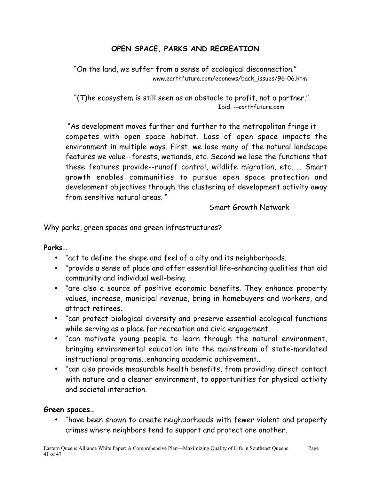#### **OPEN SPACE, PARKS AND RECREATION**

"On the land, we suffer from a sense of ecological disconnection." www.earthfuture.com/econews/back\_issues/96-06.htm

 "(T)he ecosystem is still seen as an obstacle to profit, not a partner." Ibid. --earthfuture.com

 "As development moves further and further to the metropolitan fringe it competes with open space habitat. Loss of open space impacts the environment in multiple ways. First, we lose many of the natural landscape features we value--forests, wetlands, etc. Second we lose the functions that these features provide--runoff control, wildlife migration, etc. … Smart growth enables communities to pursue open space protection and development objectives through the clustering of development activity away from sensitive natural areas. "

Smart Growth Network

Why parks, green spaces and green infrastructures?

#### **Parks…**

- "act to define the shape and feel of a city and its neighborhoods.
- "provide a sense of place and offer essential life-enhancing qualities that aid community and individual well-being.
- "are also a source of positive economic benefits. They enhance property values, increase, municipal revenue, bring in homebuyers and workers, and attract retirees.
- "can protect biological diversity and preserve essential ecological functions while serving as a place for recreation and civic engagement.
- "can motivate young people to learn through the natural environment, bringing environmental education into the mainstream of state-mandated instructional programs…enhancing academic achievement..
- "can also provide measurable health benefits, from providing direct contact with nature and a cleaner environment, to opportunities for physical activity and societal interaction.

#### **Green spaces…**

• "have been shown to create neighborhoods with fewer violent and property crimes where neighbors tend to support and protect one another.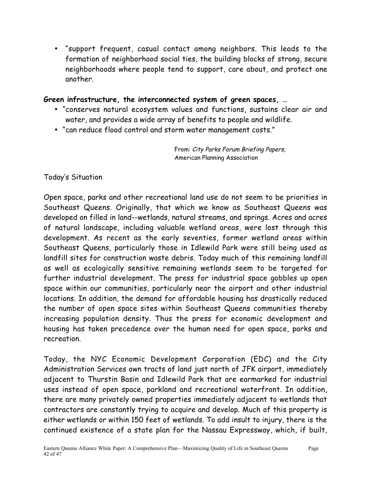• "support frequent, casual contact among neighbors. This leads to the formation of neighborhood social ties, the building blocks of strong, secure neighborhoods where people tend to support, care about, and protect one another.

#### **Green infrastructure, the interconnected system of green spaces, …**

- "conserves natural ecosystem values and functions, sustains clear air and water, and provides a wide array of benefits to people and wildlife.
- "can reduce flood control and storm water management costs."

From: City Parks Forum Briefing Papers, American Planning Association

Today's Situation

Open space, parks and other recreational land use do not seem to be priorities in Southeast Queens. Originally, that which we know as Southeast Queens was developed on filled in land--wetlands, natural streams, and springs. Acres and acres of natural landscape, including valuable wetland areas, were lost through this development. As recent as the early seventies, former wetland areas within Southeast Queens, particularly those in Idlewild Park were still being used as landfill sites for construction waste debris. Today much of this remaining landfill as well as ecologically sensitive remaining wetlands seem to be targeted for further industrial development. The press for industrial space gobbles up open space within our communities, particularly near the airport and other industrial locations. In addition, the demand for affordable housing has drastically reduced the number of open space sites within Southeast Queens communities thereby increasing population density. Thus the press for economic development and housing has taken precedence over the human need for open space, parks and recreation.

Today, the NYC Economic Development Corporation (EDC) and the City Administration Services own tracts of land just north of JFK airport, immediately adjacent to Thurstin Basin and Idlewild Park that are earmarked for industrial uses instead of open space, parkland and recreational waterfront. In addition, there are many privately owned properties immediately adjacent to wetlands that contractors are constantly trying to acquire and develop. Much of this property is either wetlands or within 150 feet of wetlands. To add insult to injury, there is the continued existence of a state plan for the Nassau Expressway, which, if built,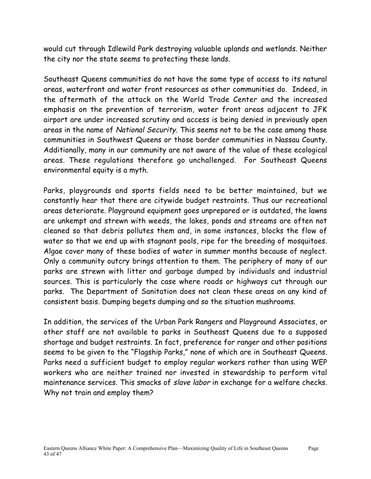would cut through Idlewild Park destroying valuable uplands and wetlands. Neither the city nor the state seems to protecting these lands.

Southeast Queens communities do not have the same type of access to its natural areas, waterfront and water front resources as other communities do. Indeed, in the aftermath of the attack on the World Trade Center and the increased emphasis on the prevention of terrorism, water front areas adjacent to JFK airport are under increased scrutiny and access is being denied in previously open areas in the name of National Security. This seems not to be the case among those communities in Southwest Queens or those border communities in Nassau County. Additionally, many in our community are not aware of the value of these ecological areas. These regulations therefore go unchallenged. For Southeast Queens environmental equity is a myth.

Parks, playgrounds and sports fields need to be better maintained, but we constantly hear that there are citywide budget restraints. Thus our recreational areas deteriorate. Playground equipment goes unprepared or is outdated, the lawns are unkempt and strewn with weeds, the lakes, ponds and streams are often not cleaned so that debris pollutes them and, in some instances, blocks the flow of water so that we end up with stagnant pools, ripe for the breeding of mosquitoes. Algae cover many of these bodies of water in summer months because of neglect. Only a community outcry brings attention to them. The periphery of many of our parks are strewn with litter and garbage dumped by individuals and industrial sources. This is particularly the case where roads or highways cut through our parks. The Department of Sanitation does not clean these areas on any kind of consistent basis. Dumping begets dumping and so the situation mushrooms.

In addition, the services of the Urban Park Rangers and Playground Associates, or other staff are not available to parks in Southeast Queens due to a supposed shortage and budget restraints. In fact, preference for ranger and other positions seems to be given to the "Flagship Parks," none of which are in Southeast Queens. Parks need a sufficient budget to employ regular workers rather than using WEP workers who are neither trained nor invested in stewardship to perform vital maintenance services. This smacks of slave labor in exchange for a welfare checks. Why not train and employ them?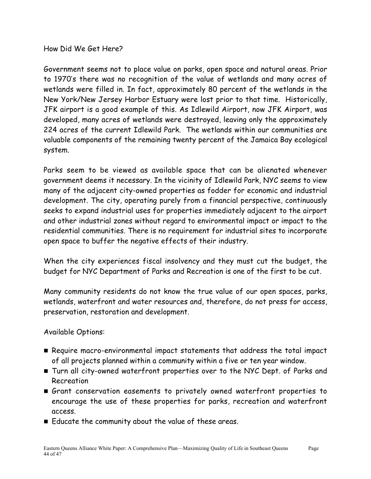How Did We Get Here?

Government seems not to place value on parks, open space and natural areas. Prior to 1970's there was no recognition of the value of wetlands and many acres of wetlands were filled in. In fact, approximately 80 percent of the wetlands in the New York/New Jersey Harbor Estuary were lost prior to that time. Historically, JFK airport is a good example of this. As Idlewild Airport, now JFK Airport, was developed, many acres of wetlands were destroyed, leaving only the approximately 224 acres of the current Idlewild Park. The wetlands within our communities are valuable components of the remaining twenty percent of the Jamaica Bay ecological system.

Parks seem to be viewed as available space that can be alienated whenever government deems it necessary. In the vicinity of Idlewild Park, NYC seems to view many of the adjacent city-owned properties as fodder for economic and industrial development. The city, operating purely from a financial perspective, continuously seeks to expand industrial uses for properties immediately adjacent to the airport and other industrial zones without regard to environmental impact or impact to the residential communities. There is no requirement for industrial sites to incorporate open space to buffer the negative effects of their industry.

When the city experiences fiscal insolvency and they must cut the budget, the budget for NYC Department of Parks and Recreation is one of the first to be cut.

Many community residents do not know the true value of our open spaces, parks, wetlands, waterfront and water resources and, therefore, do not press for access, preservation, restoration and development.

Available Options:

- Require macro-environmental impact statements that address the total impact of all projects planned within a community within a five or ten year window.
- Turn all city-owned waterfront properties over to the NYC Dept. of Parks and Recreation
- Grant conservation easements to privately owned waterfront properties to encourage the use of these properties for parks, recreation and waterfront access.
- Educate the community about the value of these areas.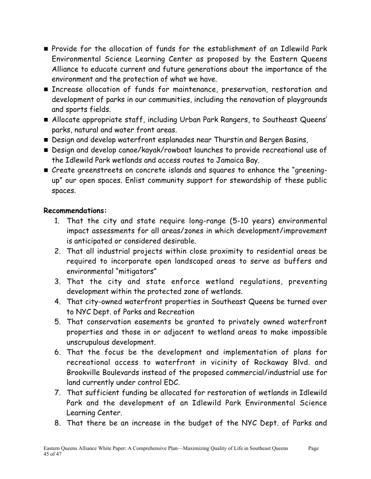- Provide for the allocation of funds for the establishment of an Idlewild Park Environmental Science Learning Center as proposed by the Eastern Queens Alliance to educate current and future generations about the importance of the environment and the protection of what we have.
- **Increase allocation of funds for maintenance, preservation, restoration and** development of parks in our communities, including the renovation of playgrounds and sports fields.
- Allocate appropriate staff, including Urban Park Rangers, to Southeast Queens' parks, natural and water front areas.
- Design and develop waterfront esplanades near Thurstin and Bergen Basins,
- Design and develop canoe/kayak/rowboat launches to provide recreational use of the Idlewild Park wetlands and access routes to Jamaica Bay.
- Create greenstreets on concrete islands and squares to enhance the "greeningup" our open spaces. Enlist community support for stewardship of these public spaces.

#### **Recommendations:**

- 1. That the city and state require long-range (5-10 years) environmental impact assessments for all areas/zones in which development/improvement is anticipated or considered desirable.
- 2. That all industrial projects within close proximity to residential areas be required to incorporate open landscaped areas to serve as buffers and environmental "mitigators"
- 3. That the city and state enforce wetland regulations, preventing development within the protected zone of wetlands.
- 4. That city-owned waterfront properties in Southeast Queens be turned over to NYC Dept. of Parks and Recreation
- 5. That conservation easements be granted to privately owned waterfront properties and those in or adjacent to wetland areas to make impossible unscrupulous development.
- 6. That the focus be the development and implementation of plans for recreational access to waterfront in vicinity of Rockaway Blvd. and Brookville Boulevards instead of the proposed commercial/industrial use for land currently under control EDC.
- 7. That sufficient funding be allocated for restoration of wetlands in Idlewild Park and the development of an Idlewild Park Environmental Science Learning Center.
- 8. That there be an increase in the budget of the NYC Dept. of Parks and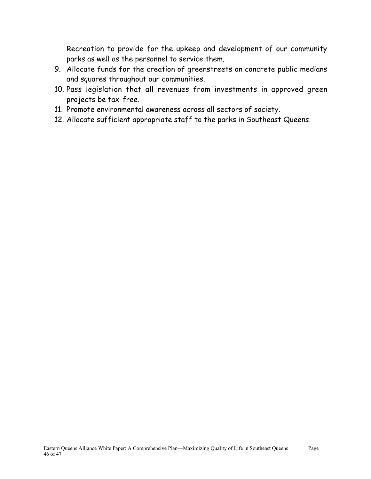Recreation to provide for the upkeep and development of our community parks as well as the personnel to service them.

- 9. Allocate funds for the creation of greenstreets on concrete public medians and squares throughout our communities.
- 10. Pass legislation that all revenues from investments in approved green projects be tax-free.
- 11. Promote environmental awareness across all sectors of society.
- 12. Allocate sufficient appropriate staff to the parks in Southeast Queens.